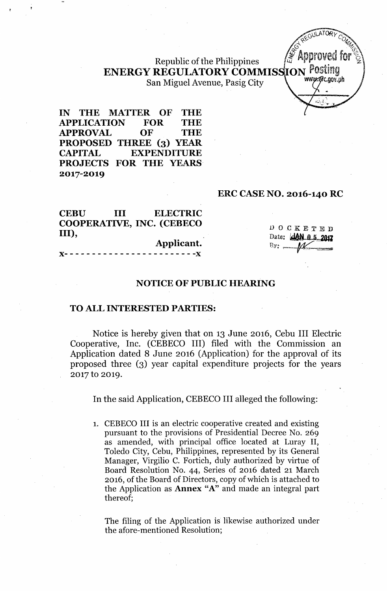# Republic of the Philippines ENERGY REGULATORY COMMISSION Posting San Miguel Avenue, Pasig City

IN THE MATTER OF THE APPLICATION FOR THE APPROVAL OF THE PROPOSED THREE (3) YEAR CAPITAL EXPENDITURE PROJECTS FOR THE YEARS 2017-2019

#### ERC CASE NO. 2016-140 RC

CEBU III ELECTRIC COOPERATIVE, INC. (CEBECO III), Applicant.

)(- - - - - - - - - - - - - - - - - - - - - - - -)(

DOCKETED Date: **AM.0.5,2017**  $Br:$   $M$ 

ອີc.oov.nh

#### NOTICE OF PUBLIC HEARING

#### TO ALL INTERESTED PARTIES:

Notice is hereby given that on 13 June 2016, Cebu III Electric Cooperative, Inc. (CEBECO III) filed with the Commission an Application dated 8 June 2016 (Application) for the approval of its proposed three (3) year capital expenditure projects for the years 2017 to 2019.

In the said Application, CEBECO III alleged the following:

1. CEBECO III is an electric cooperative created and existing pursuant to the provisions of Presidential Decree No. 269 as amended, with principal office located at Luray II, Toledo City, Cebu, Philippines, represented by its General Manager, Virgilio C. Fortich, duly authorized by virtue of Board Resolution No. 44, Series of 2016 dated 21 March 2016, of the Board of Directors, copy of which is attached to the Application as Annex "A" and made an integral part thereof;

The filing of the Application is likewise authorized under the afore-mentioned Resolution;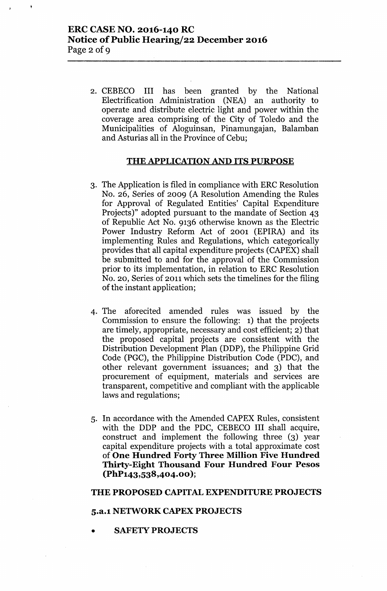2. CEBECO III has been granted by the National Electrification Administration (NEA) an authority to operate and distribute electric light and power within the coverage area comprising of the City of Toledo and the Municipalities of Aloguinsan, Pinamungajan, Balamban and Asturias all in the Province of Cebu;

#### THE APPLICATION AND ITS PURPOSE

- 3. The Application is filed in compliance with ERC Resolution No. 26, Series of 2009 (A Resolution Amending the Rules for Approval of Regulated Entities' Capital Expenditure Projects)" adopted pursuant to the mandate of Section 43 of Republic Act No. 9136 otherwise known as the Electric Power Industry Reform Act of 2001 (EPIRA) and its implementing Rules and Regulations, which categorically provides that all capital expenditure projects (CAPEX) shall be submitted to and for the approval of the Commission prior to its implementation, in relation to ERC Resolution No. 20, Series of 2011 which sets the timelines for the filing of the instant application;
- 4. The aforecited amended rules was issued by the Commission to ensure the following: 1) that the projects are timely, appropriate, necessary and cost efficient; 2) that the proposed capital projects are consistent with the Distribution Development Plan (DDP), the Philippine Grid Code (PGC), the Philippine Distribution Code (PDC), and other relevant government issuances; and 3) that the procurement of equipment, materials and services are transparent, competitive and compliant with the applicable laws and regulations;
- 5. In accordance with the Amended CAPEX Rules, consistent with the DDP and the PDC, CEBECO III shall acquire, construct and implement the following three (3) year capital expenditure projects with a total approximate cost of One Hundred Forty Three Million Five Hundred Thirty-Eight Thousand Four Hundred Four Pesos (PhP143,538,404.00 );

#### THE PROPOSED CAPITAL EXPENDITURE PROJECTS

#### 5.a.l NElWORK CAPEX PROJECTS

**SAFETY PROJECTS**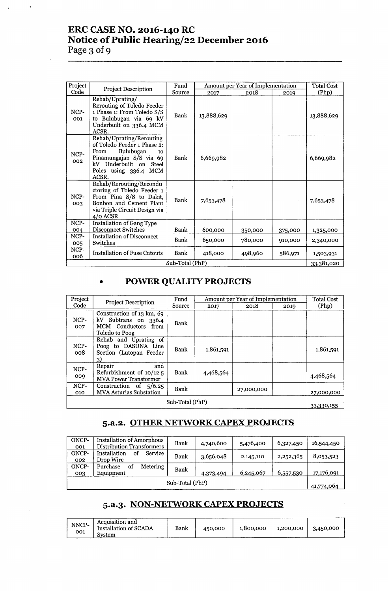# **ERC CASE NO. 2016-140 RC Notice of Public Hearing/22 December 2016 Page 3 ofg**

 $\bar{t}$ 

| Project     |                                                                                                                                                                           |                 |            | Amount per Year of Implementation |         | <b>Total Cost</b> |
|-------------|---------------------------------------------------------------------------------------------------------------------------------------------------------------------------|-----------------|------------|-----------------------------------|---------|-------------------|
| Code        | <b>Project Description</b>                                                                                                                                                | Source          | 2017       | 2018                              | 2019    | (Php)             |
| NCP-<br>001 | Rehab/Uprating/<br>Rerouting of Toledo Feeder<br>1 Phase 1: From Toledo S/S<br>to Bulubugan via 69 kV<br>Underbuilt on 336.4 MCM<br>ACSR.                                 | Bank            | 13,888,629 |                                   |         | 13,888,629        |
| NCP-<br>002 | Rehab/Uprating/Rerouting<br>of Toledo Feeder 1 Phase 2:<br>Bulubugan<br>From<br>to<br>Pinamungajan S/S via 69<br>kV Underbuilt on Steel<br>Poles using 336.4 MCM<br>ACSR. | Bank            | 6,669,982  |                                   |         | 6,669,982         |
| NCP-<br>003 | Rehab/Rerouting/Recondu<br>ctoring of Toledo Feeder 1<br>From Pina S/S to Dakit,<br>Bonbon and Cement Plant<br>via Triple Circuit Design via<br>$4$ /0 ACSR               | Bank            | 7,653,478  |                                   |         | 7,653,478         |
| NCP-<br>004 | <b>Installation of Gang Type</b><br><b>Disconnect Switches</b>                                                                                                            | Bank            | 600,000    | 350,000                           | 375,000 | 1,325,000         |
| NCP-<br>005 | <b>Installation of Disconnect</b><br>Switches                                                                                                                             | Bank            | 650,000    | 780,000                           | 910,000 | 2,340,000         |
| NCP-<br>006 | <b>Installation of Fuse Cutouts</b>                                                                                                                                       | Bank            | 418,000    | 498,960                           | 586,971 | 1,503,931         |
|             |                                                                                                                                                                           | Sub-Total (PhP) |            |                                   |         | 33,381,020        |

# **• POWER QUALITY PROJECTS**

| Project         | <b>Project Description</b>                                                                 | Fund   |           | Amount per Year of Implementation |      | <b>Total Cost</b> |  |
|-----------------|--------------------------------------------------------------------------------------------|--------|-----------|-----------------------------------|------|-------------------|--|
| Code            |                                                                                            | Source | 2017      | 2018                              | 2019 | (Php)             |  |
| NCP-<br>007     | Construction of 13 km, 69<br>kV Subtrans on 336.4<br>MCM Conductors from<br>Toledo to Poog | Bank   |           |                                   |      |                   |  |
| NCP-<br>008     | Rehab and Uprating of<br>Poog to DASUNA Line<br>Section (Lutopan Feeder<br>3)              | Bank   | 1,861,591 |                                   |      | 1,861,591         |  |
| NCP-<br>009     | and<br>Repair<br>Refurbishment of 10/12.5<br><b>MVA Power Transformer</b>                  | Bank   | 4,468,564 |                                   |      | 4,468,564         |  |
| NCP-<br>010     | Construction of $5/6.25$<br><b>MVA Asturias Substation</b>                                 | Bank   |           | 27,000,000                        |      | 27,000,000        |  |
| Sub-Total (PhP) |                                                                                            |        |           |                                   |      |                   |  |

### **5.a.2. OTHER NETWORK CAPEX PROJECTS**

| ONCP-<br>001    | <b>Installation of Amorphous</b><br>Distribution Transformers | Bank | 4,740,600 | 5,476,400 | 6,327,450 | 16,544,450 |
|-----------------|---------------------------------------------------------------|------|-----------|-----------|-----------|------------|
| ONCP-<br>002    | Installation<br>Service<br>Ωt<br>Drop Wire                    | Bank | 3,656,048 | 2,145,110 | 2,252,365 | 8,053,523  |
| ONCP-<br>003    | Metering<br>Purchase<br>ΩŤ<br>Equipment                       | Bank | 4,373,494 | 6,245,067 | 6,557,530 | 17,176,091 |
| Sub-Total (PhP) |                                                               |      |           |           |           |            |

# **5.a.3. NON-NETWORK CAPEX PROJECTS**

| NNCP-<br>001 | Acquisition and<br>Installation of SCADA<br>System | Bank | 450,000 | 1,800,000 | 1,200,000 | 3,450,000 |
|--------------|----------------------------------------------------|------|---------|-----------|-----------|-----------|
|--------------|----------------------------------------------------|------|---------|-----------|-----------|-----------|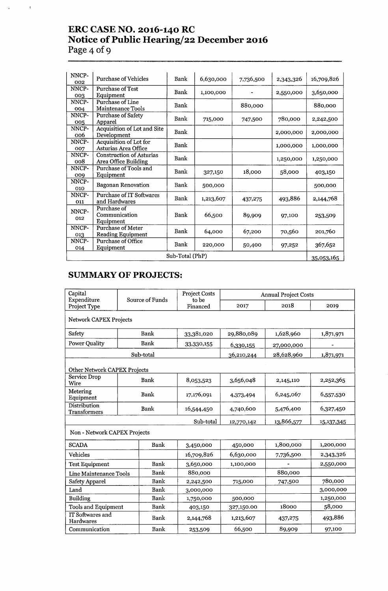# **ERC CASE NO. 2016-140 RC Notice of Public Hearing/22 December 2016 Page 4 ofg**

 $\mathcal{A}^{\text{max}}_{\text{max}}$  and  $\mathcal{A}^{\text{max}}_{\text{max}}$ 

| NNCP-<br>002    | <b>Purchase of Vehicles</b>                             | Bank | 6,630,000 | 7,736,500 | 2,343,326 | 16,709,826 |  |
|-----------------|---------------------------------------------------------|------|-----------|-----------|-----------|------------|--|
| NNCP-<br>003    | <b>Purchase of Test</b><br>Equipment                    | Bank | 1,100,000 |           | 2,550,000 | 3,650,000  |  |
| NNCP-<br>004    | Purchase of Line<br>Maintenance Tools                   | Bank |           | 880,000   |           | 880,000    |  |
| NNCP-<br>005    | Purchase of Safety<br>Apparel                           | Bank | 715,000   | 747,500   | 780,000   | 2,242,500  |  |
| NNCP-<br>006    | Acquisition of Lot and Site<br>Development              | Bank |           |           | 2,000,000 | 2,000,000  |  |
| NNCP-<br>007    | Acquisition of Lot for<br>Asturias Area Office          | Bank |           |           | 1,000,000 | 1,000,000  |  |
| NNCP-<br>008    | <b>Construction of Asturias</b><br>Area Office Building | Bank |           |           | 1,250,000 | 1,250,000  |  |
| NNCP-<br>009    | Purchase of Tools and<br>Equipment                      | Bank | 327,150   | 18,000    | 58,000    | 403,150    |  |
| NNCP-<br>010    | <b>Bagonan Renovation</b>                               | Bank | 500,000   |           |           | 500,000    |  |
| NNCP-<br>011    | <b>Purchase of IT Softwares</b><br>and Hardwares        | Bank | 1,213,607 | 437,275   | 493,886   | 2,144,768  |  |
| NNCP-<br>012    | Purchase of<br>Communication<br>Equipment               | Bank | 66,500    | 89,909    | 97,100    | 253,509    |  |
| NNCP-<br>013    | <b>Purchase of Meter</b><br><b>Reading Equipment</b>    | Bank | 64,000    | 67,200    | 70,560    | 201,760    |  |
| NNCP-<br>014    | Purchase of Office<br>Equipment                         | Bank | 220,000   | 50,400    | 97,252    | 367,652    |  |
| Sub-Total (PhP) |                                                         |      |           |           |           |            |  |

# **SUMMARY OF PROJECTS:**

| Capital<br>Expenditure              |                               | Source of Funds | <b>Project Costs</b><br>to be |            | <b>Annual Project Costs</b> |              |  |  |  |  |
|-------------------------------------|-------------------------------|-----------------|-------------------------------|------------|-----------------------------|--------------|--|--|--|--|
| Project Type                        |                               |                 | Financed                      | 2017       | 2018                        | 2019         |  |  |  |  |
|                                     | <b>Network CAPEX Projects</b> |                 |                               |            |                             |              |  |  |  |  |
| Safety                              | Bank                          |                 | 33,381,020                    | 29,880,089 | 1,628,960                   | 1,871,971    |  |  |  |  |
| <b>Power Quality</b>                |                               | Bank            | 33,330,155                    | 6,330,155  | 27,000,000                  |              |  |  |  |  |
|                                     |                               | Sub-total       |                               | 36,210,244 | 28,628,960                  | 1,871,971    |  |  |  |  |
| Other Network CAPEX Projects        |                               |                 |                               |            |                             |              |  |  |  |  |
| Service Drop<br>Wire                |                               | Bank            | 8,053,523                     | 3,656,048  | 2,145,110                   | 2,252,365    |  |  |  |  |
| Metering<br>Equipment               |                               | Bank            | 17,176,091                    | 4,373,494  | 6,245,067                   | 6,557,530    |  |  |  |  |
| Distribution<br><b>Transformers</b> | Bank                          |                 | 16,544,450                    | 4,740,600  | 5,476,400                   | 6,327,450    |  |  |  |  |
|                                     |                               |                 | Sub-total                     | 12,770,142 | 13,866,577                  | 15, 137, 345 |  |  |  |  |
| Non - Network CAPEX Projects        |                               |                 |                               |            |                             |              |  |  |  |  |
| <b>SCADA</b>                        |                               | Bank            | 3,450,000                     | 450,000    | 1,800,000                   | 1,200,000    |  |  |  |  |
| <b>Vehicles</b>                     |                               |                 | 16,709,826                    | 6,630,000  | 7,736,500                   | 2,343,326    |  |  |  |  |
| <b>Test Equipment</b>               |                               | Bank            | 3,650,000                     | 1,100,000  |                             | 2,550,000    |  |  |  |  |
| Line Maintenance Tools              |                               | Bank            | 880,000                       |            | 880,000                     |              |  |  |  |  |
| Safety Apparel                      |                               | Bank            | 2,242,500                     | 715,000    | 747,500                     | 780,000      |  |  |  |  |
| Land                                |                               | Bank            | 3,000,000                     |            |                             | 3,000,000    |  |  |  |  |
| <b>Building</b>                     |                               | Bank            | 1,750,000                     | 500,000    |                             | 1,250,000    |  |  |  |  |
| <b>Tools and Equipment</b>          |                               | Bank            | 403,150                       | 327,150.00 | 18000                       | 58,000       |  |  |  |  |
| IT Softwares and<br>Hardwares       |                               | Bank            | 2,144,768                     | 1,213,607  | 437,275                     | 493,886      |  |  |  |  |
| Communication                       |                               | <b>Bank</b>     | 253,509                       | 66,500     | 89,909                      | 97,100       |  |  |  |  |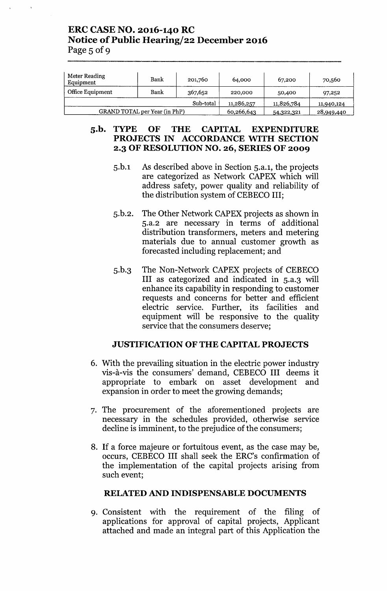## **ERC CASE NO. 2016-140 RC Notice of Public Hearing/22 December 2016** Page  $5$  of 9

| Meter Reading<br>Equipment | Bank                          | 201,760    | 64,000     | 67,200     | 70,560 |
|----------------------------|-------------------------------|------------|------------|------------|--------|
| Office Equipment<br>Bank   |                               | 367,652    | 220,000    | 50,400     | 97,252 |
|                            |                               | 11,286,257 | 11,826,784 | 11,940,124 |        |
|                            | GRAND TOTAL per Year (in PhP) | 60,266,643 | 54,322,321 | 28,949,440 |        |

### **S.b. TYPE OF THE CAPITAL EXPENDITURE PROJECTS IN ACCORDANCE WITH SECTION 2.3 OF RESOLUTION NO. 26, SERIES OF 2009**

- 5.b.l As described above in Section 5.a.l, the projects are categorized as Network CAPEX which will address safety, power quality and reliability of the distribution system of CEBECO III;
- 5.b.2. The Other Network CAPEX projects as shown in 5.a.2 are necessary in terms of additional distribution transformers, meters and metering materials due to annual customer growth as forecasted including replacement; and
- 5.b.3 The Non-Network CAPEX projects of CEBECO **III** as categorized and indicated in 5.a.3 will enhance its capability in responding to customer requests and concerns for better and efficient electric service. Further, its facilities and equipment will be responsive to the quality service that the consumers deserve;

## **JUSTIFICATION OF THE CAPITAL PROJECTS**

- 6. With the prevailing situation in the electric power industry vis-a-vis the consumers' demand, CEBECO **III** deems it appropriate to embark on asset development and expansion in order to meet the growing demands;
- 7. The procurement of the aforementioned projects are necessary in the schedules provided, otherwise service decline is imminent, to the prejudice of the consumers;
- 8. If a force majeure or fortuitous event, as the case may be, occurs, CEBECO **III** shall seek the ERC's confirmation of the implementation of the capital projects arising from such event;

#### **RELATED AND INDISPENSABLE DOCUMENTS**

9. Consistent with the requirement of the filing of applications for approval of capital projects, Applicant attached and made an integral part of this Application the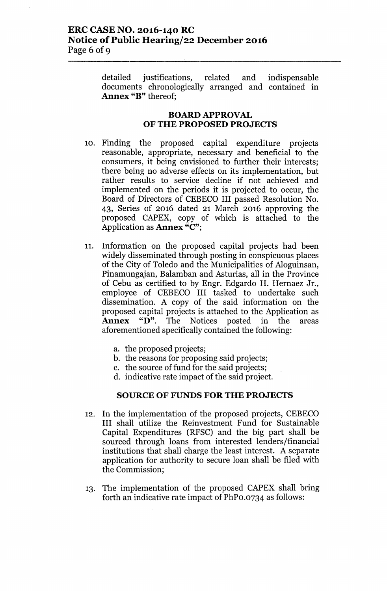## ERC CASE NO. 2016-140 RC Notice of Public Hearing/22 December 2016 Page 6 of 9

detailed justifications, related and indispensable documents chronologically arranged and contained in Annex "B" thereof:

#### BOARD APPROVAL OF THE PROPOSED PROJECTS

- 10. Finding the proposed capital expenditure projects reasonable, appropriate, necessary and beneficial to the consumers, it being envisioned to further their interests; there being no adverse effects on its implementation, but rather results to service decline if not achieved and implemented on the periods it is projected to occur, the Board of Directors of CEBECO III passed Resolution No. 43, Series of 2016 dated 21 March 2016 approving the proposed CAPEX, copy of which is attached to the Application as Annex "C";
- 11. Information on the proposed capital projects had been widely disseminated through posting in conspicuous places of the City of Toledo and the Municipalities of Aloguinsan, Pinamungajan, Balamban and Asturias, all in the Province of Cebu as certified to by Engr. Edgardo H. Hernaez Jr., employee of CEBECO III tasked to undertake such dissemination. A copy of the said information on the proposed capital projects is attached to the Application as Annex "D". The Notices posted in the areas aforementioned specifically contained the following:
	- a. the proposed projects;
	- b. the reasons for proposing said projects;
	- c. the source of fund for the said projects;
	- d. indicative rate impact of the said project.

#### SOURCE OF FUNDS FOR THE PROJECTS

- 12. In the implementation of the proposed projects, CEBECO III shall utilize the Reinvestment Fund for Sustainable Capital Expenditures (RFSC) and the big part shall be sourced through loans from interested lenders/financial institutions that shall charge the least interest. A separate application for authority to secure loan shall be filed with the Commission;
- 13. The implementation of the proposed CAPEX shall bring forth an indicative rate impact of PhPo.0734 as follows: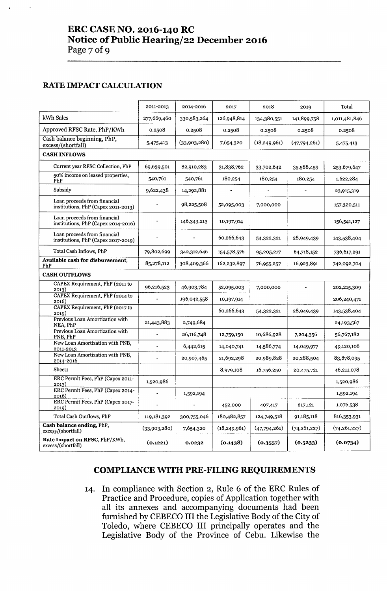### RATE IMPACT CALCULATION

|                                                                     | 2011-2013                | 2014-2016      | 2017           | 2018           | 2019           | Total          |
|---------------------------------------------------------------------|--------------------------|----------------|----------------|----------------|----------------|----------------|
| kWh Sales                                                           | 277,669,460              |                |                |                |                |                |
|                                                                     |                          | 330,583,264    | 126,948,814    | 134,380,551    | 141,899,758    | 1,011,481,846  |
| Approved RFSC Rate, PhP/KWh                                         | 0.2508                   | 0.2508         | 0.2508         | 0.2508         | 0.2508         | 0.2508         |
| Cash balance beginning, PhP,<br>excess/(shortfall)                  | 5,475,413                | (33,903,280)   | 7,654,320      | (18, 249, 961) | (47,794,261)   | 5,475,413      |
| <b>CASH INFLOWS</b>                                                 |                          |                |                |                |                |                |
| Current year RFSC Collection, PhP                                   | 69,639,501               | 82,910,283     | 31,838,762     | 33,702,642     | 35,588,459     | 253,679,647    |
| 50% income on leased properties,<br>PhP                             | 540,761                  | 540,761        | 180,254        | 180,254        | 180,254        | 1,622,284      |
| Subsidy                                                             | 9,622,438                | 14,292,881     |                |                |                | 23,915,319     |
| Loan proceeds from financial<br>institutions, PhP (Capex 2011-2013) |                          | 98,225,508     | 52,095,003     | 7,000,000      |                | 157,320,511    |
| Loan proceeds from financial<br>institutions, PhP (Capex 2014-2016) |                          | 146,343,213    | 10,197,914     |                |                | 156,541,127    |
| Loan proceeds from financial<br>institutions, PhP (Capex 2017-2019) |                          |                | 60,266,643     | 54,322,321     | 28,949,439     | 143,538,404    |
| Total Cash Inflows, PhP                                             | 79,802,699               | 342,312,646    | 154,578,576    | 95,205,217     | 64,718,152     | 736,617,291    |
| Available cash for disbursement,<br>PhP                             | 85,278,112               | 308,409,366    | 162,232,897    | 76,955,257     | 16,923,891     | 742,092,704    |
| <b>CASH OUTFLOWS</b>                                                |                          |                |                |                |                |                |
| CAPEX Requirement, PhP (2011 to<br>2013)                            | 96,216,523               | 46,903,784     | 52,095,003     | 7,000,000      |                | 202,215,309    |
| CAPEX Requirement, PhP (2014 to<br>2016)                            |                          | 196,042,558    | 10,197,914     |                |                | 206,240,471    |
| CAPEX Requirement, PhP (2017 to<br>2019)                            |                          |                | 60,266,643     | 54,322,321     | 28,949,439     | 143,538,404    |
| Previous Loan Amortization with<br>NEA, PhP                         | 21,443,883               | 2,749,684      |                |                |                | 24,193,567     |
| Previous Loan Amortization with<br>PNB, PhP                         | $\frac{1}{2}$            | 26,116,748     | 12,759,150     | 10,686,928     | 7,204,356      | 56,767,182     |
| New Loan Amortization with PNB,<br>2011-2013                        | $\blacksquare$           | 6,442,615      | 14,040,741     | 14,586,774     | 14,049,977     | 49,120,106     |
| New Loan Amortization with PNB,<br>2014-2016                        | $\blacksquare$           | 20,907,465     | 21,692,298     | 20,989,828     | 20,288,504     | 83,878,095     |
| Sheet1                                                              |                          |                | 8,979,108      | 16,756,250     | 20,475,721     | 46,211,078     |
| ERC Permit Fees, PhP (Capex 2011-<br>2013)                          | 1,520,986                |                |                |                |                | 1,520,986      |
| ERC Permit Fees, PhP (Capex 2014-<br>2016)                          | $\overline{\phantom{a}}$ | 1,592,194      |                |                |                | 1,592,194      |
| ERC Permit Fees, PhP (Capex 2017-<br>2019)                          |                          | $\blacksquare$ | 452,000        | 407,417        | 217,121        | 1,076,538      |
| Total Cash Outflows, PhP                                            | 119,181,392              | 300,755,046    | 180,482,857    | 124,749,518    | 91,185,118     | 816,353,931    |
| Cash balance ending, PhP,<br>excess/(shortfall)                     | (33,903,280)             | 7,654,320      | (18, 249, 961) | (47,794,261)   | (74, 261, 227) | (74, 261, 227) |
| Rate Impact on RFSC, PhP/KWh,<br>excess/(shortfall)                 | (0.1221)                 | 0.0232         | (0.1438)       | (0.3557)       | (0.5233)       | (0.0734)       |

### **COMPLIANCE WITH PRE-FILING REQUIREMENTS**

14. **In** compliance with Section 2, Rule 6 of the ERC Rules of Practice and Procedure, copies of Application together with all its annexes and accompanying documents had been furnished by CEBECO **III**the Legislative Body of the City of Toledo, where CEBECO **III** principally operates and the Legislative Body of the Province of Cebu. Likewise the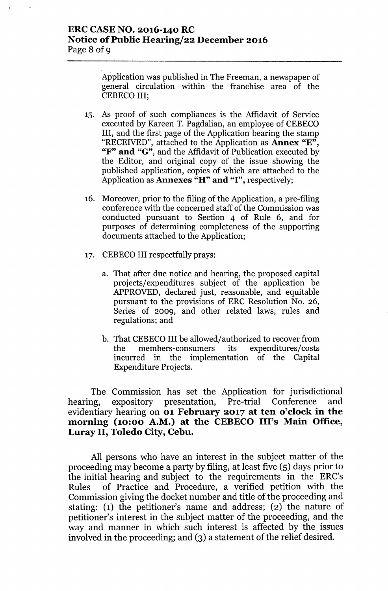### ERC CASENO. 2016-140 RC Notice of Public Hearing/22 December 2016 Page 8 of 9

Application was published in The Freeman, a newspaper of general circulation within the franchise area of the CEBECO III;

- 15. As proof of such compliances is the Mfidavit of Service executed by Kareen T. Pagdalian, an employee of CEBECO III, and the first page of the Application bearing the stamp "RECEIVED", attached to the Application as Annex "E", "F" and "G", and the Affidavit of Publication executed by the Editor, and original copy of the issue showing the published application, copies of which are attached to the Application as **Annexes** "H" and "I", respectively;
- 16. Moreover, prior to the filing of the Application, a pre-filing conference with the concerned staff of the Commission was conducted pursuant to Section 4 of Rule 6, and for purposes of determining completeness of the supporting documents attached to the Application;
- 17. CEBECO III respectfully prays:
	- a. That after due notice and hearing, the proposed capital projects/expenditures subject of the application be APPROVED, declared just, reasonable, and equitable pursuant to the provisions of ERC Resolution No. 26, Series of 2009, and other related laws, rules and regulations; and
	- b. That CEBECO III be allowed/ authorized to recover from the members-consumers its expenditures/costs incurred in the implementation of the Capital Expenditure Projects.

The Commission has set the Application for jurisdictional hearing, expository presentation, Pre-trial Conference and evidentiary hearing on 01 February 2017 at ten o'clock in the morning (10:00 A.M.) at the CEBECO III's Main Office, Luray II, Toledo City, Cebu.

All persons who have an interest in the subject matter of the proceeding may become a party by filing, at least five (5) days prior to the initial hearing and subject to the requirements in the ERC's Rules of Practice and Procedure, a verified petition with the Commission giving the docket number and title of the proceeding and stating: (1) the petitioner's name and address; (2) the nature of petitioner's interest in the subject matter of the proceeding, and the way and manner in which such interest is affected by the issues involved in the proceeding; and (3) a statement of the relief desired.